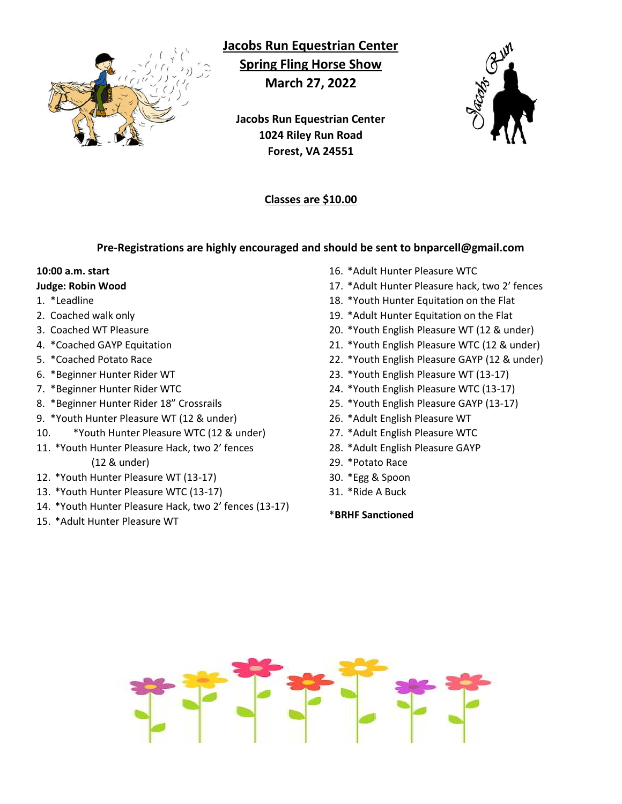

**Jacobs Run Equestrian Center Spring Fling Horse Show March 27, 2022**

**Jacobs Run Equestrian Center 1024 Riley Run Road Forest, VA 24551**

### **Classes are \$10.00**

#### **Pre-Registrations are highly encouraged and should be sent to bnparcell@gmail.com**

# **10:00 a.m. start**

#### **Judge: Robin Wood**

- 1. \*Leadline
- 2. Coached walk only
- 3. Coached WT Pleasure
- 4. \*Coached GAYP Equitation
- 5. \*Coached Potato Race
- 6. \*Beginner Hunter Rider WT
- 7. \*Beginner Hunter Rider WTC
- 8. \*Beginner Hunter Rider 18" Crossrails
- 9. \*Youth Hunter Pleasure WT (12 & under)
- 10. \*Youth Hunter Pleasure WTC (12 & under)
- 11. \*Youth Hunter Pleasure Hack, two 2' fences (12 & under)
- 12. \*Youth Hunter Pleasure WT (13-17)
- 13. \*Youth Hunter Pleasure WTC (13-17)
- 14. \*Youth Hunter Pleasure Hack, two 2' fences (13-17)
- 15. \*Adult Hunter Pleasure WT
- 16. \*Adult Hunter Pleasure WTC
- 17. \*Adult Hunter Pleasure hack, two 2' fences
- 18. \*Youth Hunter Equitation on the Flat
- 19. \*Adult Hunter Equitation on the Flat
- 20. \*Youth English Pleasure WT (12 & under)
- 21. \*Youth English Pleasure WTC (12 & under)
- 22. \*Youth English Pleasure GAYP (12 & under)
- 23. \*Youth English Pleasure WT (13-17)
- 24. \*Youth English Pleasure WTC (13-17)
- 25. \*Youth English Pleasure GAYP (13-17)
- 26. \*Adult English Pleasure WT
- 27. \*Adult English Pleasure WTC
- 28. \*Adult English Pleasure GAYP
- 29. \*Potato Race
- 30. \*Egg & Spoon
- 31. \*Ride A Buck
- \***BRHF Sanctioned**